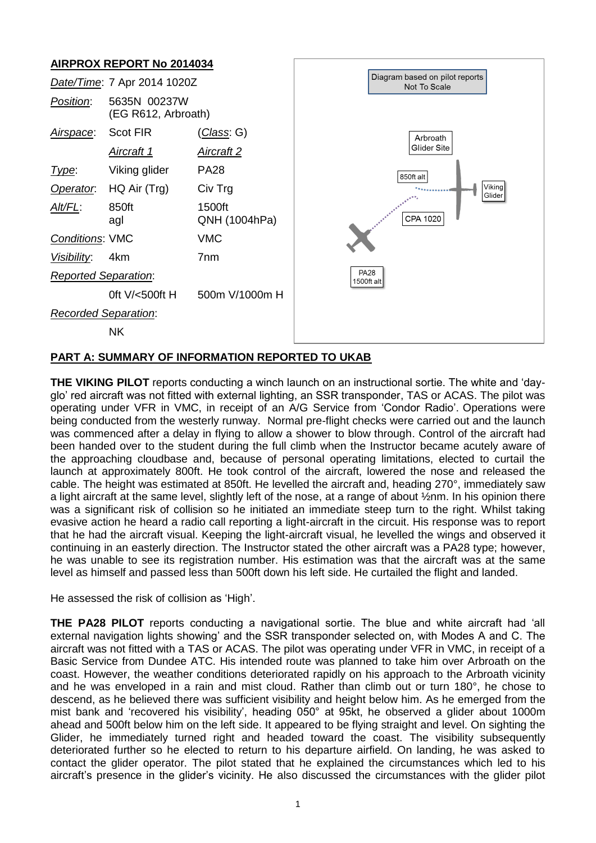

# **PART A: SUMMARY OF INFORMATION REPORTED TO UKAB**

**THE VIKING PILOT** reports conducting a winch launch on an instructional sortie. The white and 'dayglo' red aircraft was not fitted with external lighting, an SSR transponder, TAS or ACAS. The pilot was operating under VFR in VMC, in receipt of an A/G Service from 'Condor Radio'. Operations were being conducted from the westerly runway. Normal pre-flight checks were carried out and the launch was commenced after a delay in flying to allow a shower to blow through. Control of the aircraft had been handed over to the student during the full climb when the Instructor became acutely aware of the approaching cloudbase and, because of personal operating limitations, elected to curtail the launch at approximately 800ft. He took control of the aircraft, lowered the nose and released the cable. The height was estimated at 850ft. He levelled the aircraft and, heading 270°, immediately saw a light aircraft at the same level, slightly left of the nose, at a range of about ½nm. In his opinion there was a significant risk of collision so he initiated an immediate steep turn to the right. Whilst taking evasive action he heard a radio call reporting a light-aircraft in the circuit. His response was to report that he had the aircraft visual. Keeping the light-aircraft visual, he levelled the wings and observed it continuing in an easterly direction. The Instructor stated the other aircraft was a PA28 type; however, he was unable to see its registration number. His estimation was that the aircraft was at the same level as himself and passed less than 500ft down his left side. He curtailed the flight and landed.

He assessed the risk of collision as 'High'.

**THE PA28 PILOT** reports conducting a navigational sortie. The blue and white aircraft had 'all external navigation lights showing' and the SSR transponder selected on, with Modes A and C. The aircraft was not fitted with a TAS or ACAS. The pilot was operating under VFR in VMC, in receipt of a Basic Service from Dundee ATC. His intended route was planned to take him over Arbroath on the coast. However, the weather conditions deteriorated rapidly on his approach to the Arbroath vicinity and he was enveloped in a rain and mist cloud. Rather than climb out or turn 180°, he chose to descend, as he believed there was sufficient visibility and height below him. As he emerged from the mist bank and 'recovered his visibility', heading 050° at 95kt, he observed a glider about 1000m ahead and 500ft below him on the left side. It appeared to be flying straight and level. On sighting the Glider, he immediately turned right and headed toward the coast. The visibility subsequently deteriorated further so he elected to return to his departure airfield. On landing, he was asked to contact the glider operator. The pilot stated that he explained the circumstances which led to his aircraft's presence in the glider's vicinity. He also discussed the circumstances with the glider pilot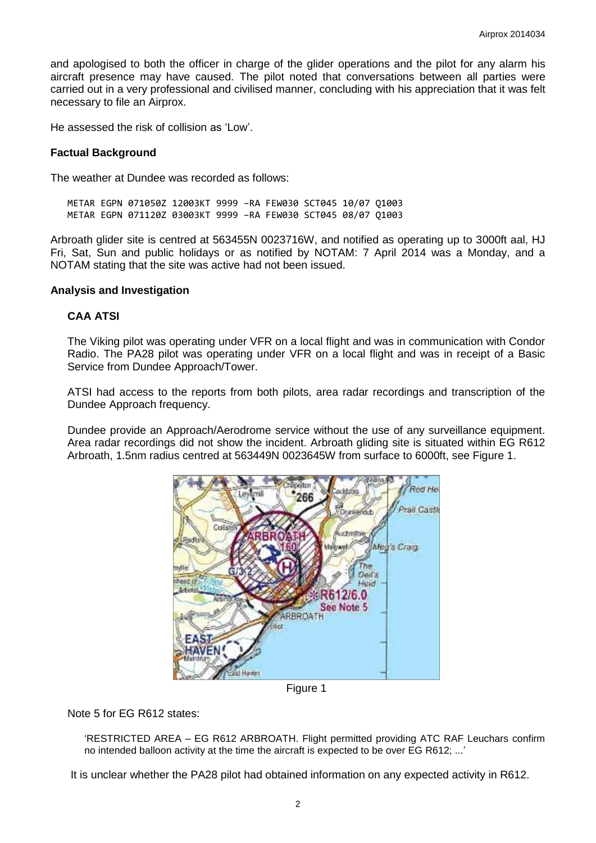and apologised to both the officer in charge of the glider operations and the pilot for any alarm his aircraft presence may have caused. The pilot noted that conversations between all parties were carried out in a very professional and civilised manner, concluding with his appreciation that it was felt necessary to file an Airprox.

He assessed the risk of collision as 'Low'.

# **Factual Background**

The weather at Dundee was recorded as follows:

METAR EGPN 071050Z 12003KT 9999 –RA FEW030 SCT045 10/07 Q1003 METAR EGPN 071120Z 03003KT 9999 –RA FEW030 SCT045 08/07 Q1003

Arbroath glider site is centred at 563455N 0023716W, and notified as operating up to 3000ft aal, HJ Fri, Sat, Sun and public holidays or as notified by NOTAM: 7 April 2014 was a Monday, and a NOTAM stating that the site was active had not been issued.

# **Analysis and Investigation**

# **CAA ATSI**

The Viking pilot was operating under VFR on a local flight and was in communication with Condor Radio. The PA28 pilot was operating under VFR on a local flight and was in receipt of a Basic Service from Dundee Approach/Tower.

ATSI had access to the reports from both pilots, area radar recordings and transcription of the Dundee Approach frequency.

Dundee provide an Approach/Aerodrome service without the use of any surveillance equipment. Area radar recordings did not show the incident. Arbroath gliding site is situated within EG R612 Arbroath, 1.5nm radius centred at 563449N 0023645W from surface to 6000ft, see Figure 1.



Figure 1

Note 5 for EG R612 states:

'RESTRICTED AREA – EG R612 ARBROATH. Flight permitted providing ATC RAF Leuchars confirm no intended balloon activity at the time the aircraft is expected to be over EG R612; ...'

It is unclear whether the PA28 pilot had obtained information on any expected activity in R612.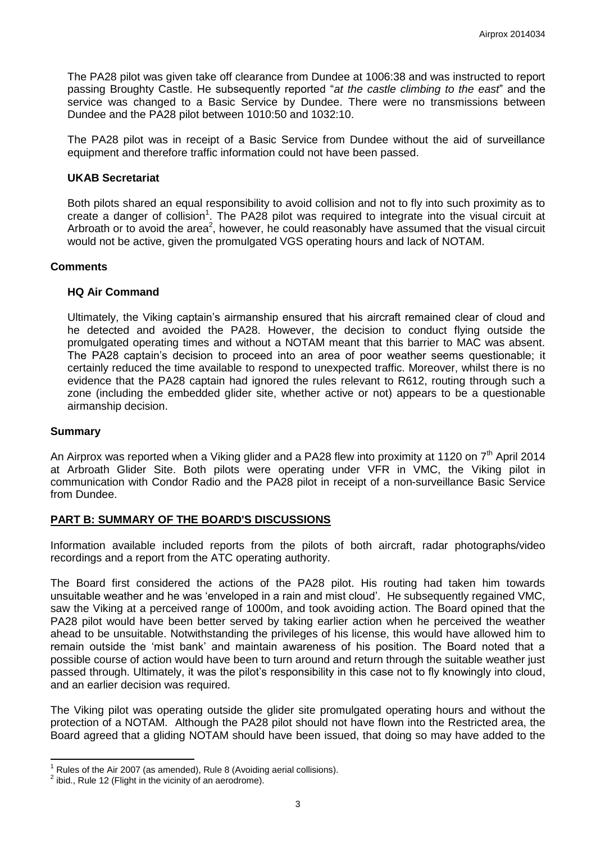The PA28 pilot was given take off clearance from Dundee at 1006:38 and was instructed to report passing Broughty Castle. He subsequently reported "*at the castle climbing to the east*" and the service was changed to a Basic Service by Dundee. There were no transmissions between Dundee and the PA28 pilot between 1010:50 and 1032:10.

The PA28 pilot was in receipt of a Basic Service from Dundee without the aid of surveillance equipment and therefore traffic information could not have been passed.

### **UKAB Secretariat**

Both pilots shared an equal responsibility to avoid collision and not to fly into such proximity as to create a danger of collision<sup>1</sup>. The PA28 pilot was required to integrate into the visual circuit at Arbroath or to avoid the area<sup>2</sup>, however, he could reasonably have assumed that the visual circuit would not be active, given the promulgated VGS operating hours and lack of NOTAM.

#### **Comments**

# **HQ Air Command**

Ultimately, the Viking captain's airmanship ensured that his aircraft remained clear of cloud and he detected and avoided the PA28. However, the decision to conduct flying outside the promulgated operating times and without a NOTAM meant that this barrier to MAC was absent. The PA28 captain's decision to proceed into an area of poor weather seems questionable; it certainly reduced the time available to respond to unexpected traffic. Moreover, whilst there is no evidence that the PA28 captain had ignored the rules relevant to R612, routing through such a zone (including the embedded glider site, whether active or not) appears to be a questionable airmanship decision.

#### **Summary**

 $\overline{\phantom{a}}$ 

An Airprox was reported when a Viking glider and a PA28 flew into proximity at 1120 on 7<sup>th</sup> April 2014 at Arbroath Glider Site. Both pilots were operating under VFR in VMC, the Viking pilot in communication with Condor Radio and the PA28 pilot in receipt of a non-surveillance Basic Service from Dundee.

#### **PART B: SUMMARY OF THE BOARD'S DISCUSSIONS**

Information available included reports from the pilots of both aircraft, radar photographs/video recordings and a report from the ATC operating authority.

The Board first considered the actions of the PA28 pilot. His routing had taken him towards unsuitable weather and he was 'enveloped in a rain and mist cloud'. He subsequently regained VMC, saw the Viking at a perceived range of 1000m, and took avoiding action. The Board opined that the PA28 pilot would have been better served by taking earlier action when he perceived the weather ahead to be unsuitable. Notwithstanding the privileges of his license, this would have allowed him to remain outside the 'mist bank' and maintain awareness of his position. The Board noted that a possible course of action would have been to turn around and return through the suitable weather just passed through. Ultimately, it was the pilot's responsibility in this case not to fly knowingly into cloud, and an earlier decision was required.

The Viking pilot was operating outside the glider site promulgated operating hours and without the protection of a NOTAM. Although the PA28 pilot should not have flown into the Restricted area, the Board agreed that a gliding NOTAM should have been issued, that doing so may have added to the

Rules of the Air 2007 (as amended), Rule 8 (Avoiding aerial collisions).

 $2$  ibid., Rule 12 (Flight in the vicinity of an aerodrome).